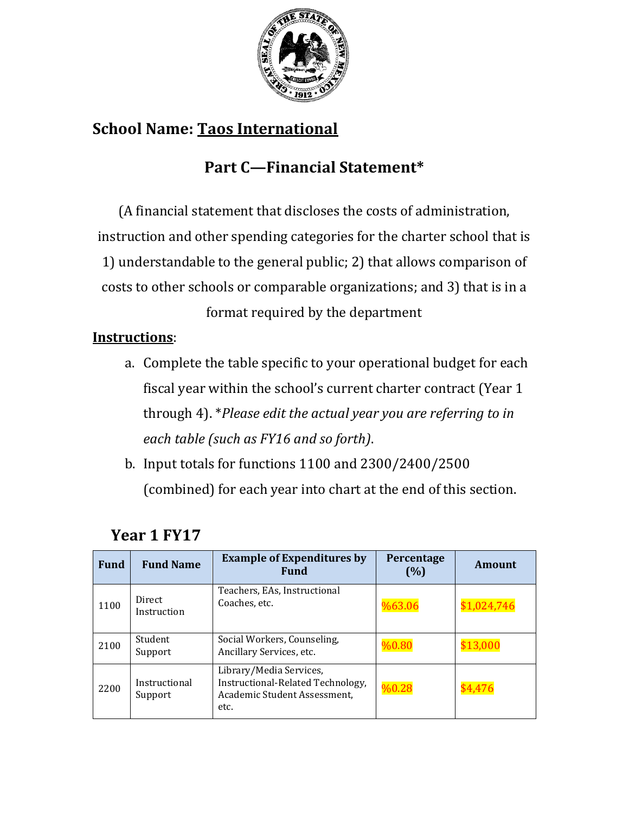

# **School Name: Taos International**

# **Part C—Financial Statement\***

(A financial statement that discloses the costs of administration, instruction and other spending categories for the charter school that is 1) understandable to the general public; 2) that allows comparison of costs to other schools or comparable organizations; and 3) that is in a

format required by the department

### **Instructions**:

- a. Complete the table specific to your operational budget for each fiscal year within the school's current charter contract (Year 1 through 4). \**Please edit the actual year you are referring to in each table (such as FY16 and so forth)*.
- b. Input totals for functions 1100 and 2300/2400/2500 (combined) for each year into chart at the end of this section.

| <b>Fund</b> | <b>Fund Name</b>         | <b>Example of Expenditures by</b><br><b>Fund</b>                                                     | Percentage<br>(%) | Amount      |
|-------------|--------------------------|------------------------------------------------------------------------------------------------------|-------------------|-------------|
| 1100        | Direct<br>Instruction    | Teachers, EAs, Instructional<br>Coaches, etc.                                                        | %63.06            | \$1,024,746 |
| 2100        | Student<br>Support       | Social Workers, Counseling,<br>Ancillary Services, etc.                                              | %0.80             | \$13,000    |
| 2200        | Instructional<br>Support | Library/Media Services,<br>Instructional-Related Technology,<br>Academic Student Assessment,<br>etc. | %0.28             | 4,476       |

#### **Year 1 FY17**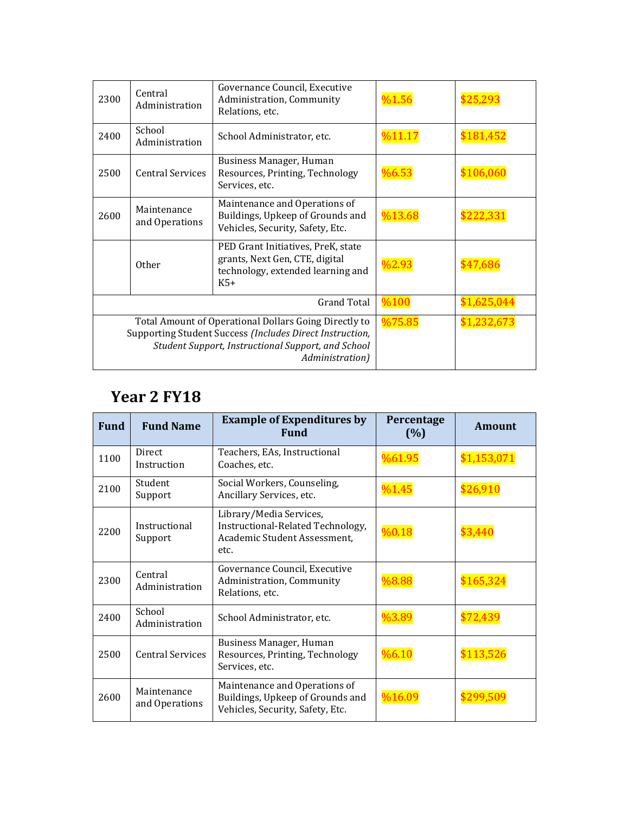| 2300                                                                                                                                                                                       | Central<br>Administration     | Governance Council, Executive<br>Administration, Community<br>Relations, etc.                                      | %1.56  |             |
|--------------------------------------------------------------------------------------------------------------------------------------------------------------------------------------------|-------------------------------|--------------------------------------------------------------------------------------------------------------------|--------|-------------|
| 2400                                                                                                                                                                                       | School<br>Administration      | School Administrator, etc.                                                                                         | %11.17 | \$181.452   |
| 2500                                                                                                                                                                                       | <b>Central Services</b>       | Business Manager, Human<br>Resources, Printing, Technology<br>Services, etc.                                       | %6.53  | \$106,060   |
| 2600                                                                                                                                                                                       | Maintenance<br>and Operations | Maintenance and Operations of<br>Buildings, Upkeep of Grounds and<br>Vehicles, Security, Safety, Etc.              | %13.68 | \$222.33    |
|                                                                                                                                                                                            | <b>Other</b>                  | PED Grant Initiatives, PreK, state<br>grants, Next Gen, CTE, digital<br>technology, extended learning and<br>$K5+$ | %2.93  | \$47.686    |
| <b>Grand Total</b>                                                                                                                                                                         |                               |                                                                                                                    | %100   | \$1,625,044 |
| Total Amount of Operational Dollars Going Directly to<br>Supporting Student Success (Includes Direct Instruction,<br>Student Support, Instructional Support, and School<br>Administration) |                               |                                                                                                                    | %75.85 | \$1,232,673 |

### **Year 2 FY18**

| <b>Fund</b> | <b>Fund Name</b>              | <b>Example of Expenditures by</b><br><b>Fund</b>                                                      | Percentage<br>(%) | <b>Amount</b> |
|-------------|-------------------------------|-------------------------------------------------------------------------------------------------------|-------------------|---------------|
| 1100        | <b>Direct</b><br>Instruction  | Teachers, EAs, Instructional<br>Coaches, etc.                                                         | %61.95            | \$1,153,071   |
| 2100        | Student<br>Support            | Social Workers, Counseling,<br>Ancillary Services, etc.                                               | %1.45             | \$26,910      |
| 2200        | Instructional<br>Support      | Library/Media Services,<br>Instructional-Related Technology,<br>Academic Student Assessment,<br>etc.  | %0.18             | \$3,440       |
| 2300        | Central<br>Administration     | Governance Council, Executive<br>Administration, Community<br>Relations, etc.                         | %8.88             | \$165,324     |
| 2400        | School<br>Administration      | School Administrator, etc.                                                                            | %3.89             | \$72.439      |
| 2500        | <b>Central Services</b>       | Business Manager, Human<br>Resources, Printing, Technology<br>Services, etc.                          | %6.10             | \$113,526     |
| 2600        | Maintenance<br>and Operations | Maintenance and Operations of<br>Buildings, Upkeep of Grounds and<br>Vehicles, Security, Safety, Etc. | %16.09            | \$299.509     |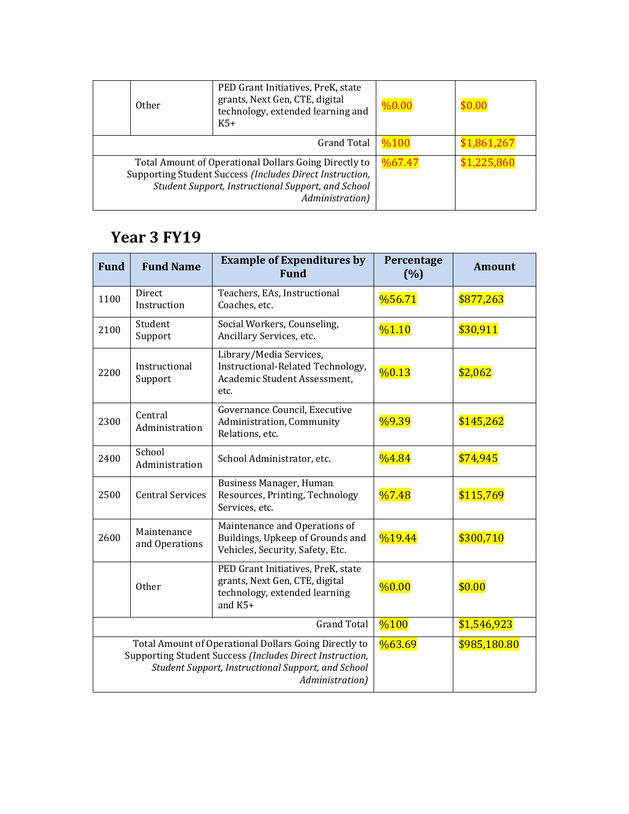|                                                                                                                                                                                            | <b>Other</b> | PED Grant Initiatives, PreK, state<br>grants, Next Gen, CTE, digital<br>technology, extended learning and<br>$K5+$ | %0.00  |             |
|--------------------------------------------------------------------------------------------------------------------------------------------------------------------------------------------|--------------|--------------------------------------------------------------------------------------------------------------------|--------|-------------|
| <b>Grand Total</b>                                                                                                                                                                         |              |                                                                                                                    | %100   | \$1.861.267 |
| Total Amount of Operational Dollars Going Directly to<br>Supporting Student Success (Includes Direct Instruction,<br>Student Support, Instructional Support, and School<br>Administration) |              |                                                                                                                    | %67.47 | \$1.225.860 |

# **Year 3 FY19**

| <b>Fund</b>                                                                                                                                                                                | <b>Fund Name</b>              | <b>Example of Expenditures by</b><br><b>Fund</b>                                                                   | Percentage<br>(%) | <b>Amount</b> |
|--------------------------------------------------------------------------------------------------------------------------------------------------------------------------------------------|-------------------------------|--------------------------------------------------------------------------------------------------------------------|-------------------|---------------|
| 1100                                                                                                                                                                                       | Direct<br>Instruction         | Teachers, EAs, Instructional<br>Coaches, etc.                                                                      | %56.71            | \$877,263     |
| 2100                                                                                                                                                                                       | Student<br>Support            | Social Workers, Counseling,<br>Ancillary Services, etc.                                                            | %1.10             | \$30,911      |
| 2200                                                                                                                                                                                       | Instructional<br>Support      | Library/Media Services,<br>Instructional-Related Technology,<br>Academic Student Assessment,<br>etc.               | %0.13             | \$2,062       |
| 2300                                                                                                                                                                                       | Central<br>Administration     | Governance Council, Executive<br>Administration, Community<br>Relations, etc.                                      | %9.39             | \$145,262     |
| 2400                                                                                                                                                                                       | School<br>Administration      | School Administrator, etc.                                                                                         | %4.84             | \$74,945      |
| 2500                                                                                                                                                                                       | <b>Central Services</b>       | Business Manager, Human<br>Resources, Printing, Technology<br>Services, etc.                                       | $\frac{0}{07.48}$ | \$115,769     |
| 2600                                                                                                                                                                                       | Maintenance<br>and Operations | Maintenance and Operations of<br>Buildings, Upkeep of Grounds and<br>Vehicles, Security, Safety, Etc.              | %19.44            | \$300,710     |
|                                                                                                                                                                                            | Other                         | PED Grant Initiatives, PreK, state<br>grants, Next Gen, CTE, digital<br>technology, extended learning<br>and $K5+$ | %0.00             | \$0.00        |
| <b>Grand Total</b>                                                                                                                                                                         |                               |                                                                                                                    | %100              | \$1,546,923   |
| Total Amount of Operational Dollars Going Directly to<br>Supporting Student Success (Includes Direct Instruction,<br>Student Support, Instructional Support, and School<br>Administration) |                               |                                                                                                                    | %63.69            | \$985,180.80  |